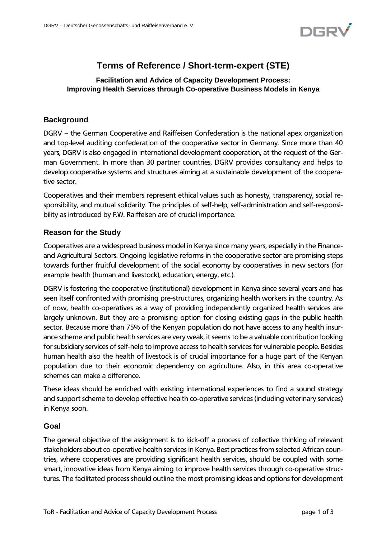

# **Terms of Reference / Short-term-expert (STE)**

## **Facilitation and Advice of Capacity Development Process: Improving Health Services through Co-operative Business Models in Kenya**

## **Background**

DGRV – the German Cooperative and Raiffeisen Confederation is the national apex organization and top-level auditing confederation of the cooperative sector in Germany. Since more than 40 years, DGRV is also engaged in international development cooperation, at the request of the German Government. In more than 30 partner countries, DGRV provides consultancy and helps to develop cooperative systems and structures aiming at a sustainable development of the cooperative sector.

Cooperatives and their members represent ethical values such as honesty, transparency, social responsibility, and mutual solidarity. The principles of self-help, self-administration and self-responsibility as introduced by F.W. Raiffeisen are of crucial importance.

## **Reason for the Study**

Cooperatives are a widespread business model in Kenya since many years, especially in the Financeand Agricultural Sectors. Ongoing legislative reforms in the cooperative sector are promising steps towards further fruitful development of the social economy by cooperatives in new sectors (for example health (human and livestock), education, energy, etc.).

DGRV is fostering the cooperative (institutional) development in Kenya since several years and has seen itself confronted with promising pre-structures, organizing health workers in the country. As of now, health co-operatives as a way of providing independently organized health services are largely unknown. But they are a promising option for closing existing gaps in the public health sector. Because more than 75% of the Kenyan population do not have access to any health insurance scheme and public health services are very weak, it seems to be a valuable contribution looking for subsidiary services of self-help to improve access to health services for vulnerable people. Besides human health also the health of livestock is of crucial importance for a huge part of the Kenyan population due to their economic dependency on agriculture. Also, in this area co-operative schemes can make a difference.

These ideas should be enriched with existing international experiences to find a sound strategy and support scheme to develop effective health co-operative services (including veterinary services) in Kenya soon.

#### **Goal**

The general objective of the assignment is to kick-off a process of collective thinking of relevant stakeholders about co-operative health services in Kenya. Best practices from selected African countries, where cooperatives are providing significant health services, should be coupled with some smart, innovative ideas from Kenya aiming to improve health services through co-operative structures. The facilitated process should outline the most promising ideas and options for development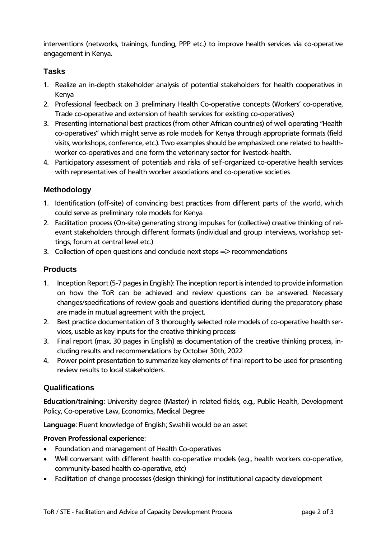interventions (networks, trainings, funding, PPP etc.) to improve health services via co-operative engagement in Kenya.

## **Tasks**

- 1. Realize an in-depth stakeholder analysis of potential stakeholders for health cooperatives in Kenya
- 2. Professional feedback on 3 preliminary Health Co-operative concepts (Workers' co-operative, Trade co-operative and extension of health services for existing co-operatives)
- 3. Presenting international best practices (from other African countries) of well operating "Health co-operatives" which might serve as role models for Kenya through appropriate formats (field visits, workshops, conference, etc.). Two examples should be emphasized: one related to healthworker co-operatives and one form the veterinary sector for livestock-health.
- 4. Participatory assessment of potentials and risks of self-organized co-operative health services with representatives of health worker associations and co-operative societies

## **Methodology**

- 1. Identification (off-site) of convincing best practices from different parts of the world, which could serve as preliminary role models for Kenya
- 2. Facilitation process (On-site) generating strong impulses for (collective) creative thinking of relevant stakeholders through different formats (individual and group interviews, workshop settings, forum at central level etc.)
- 3. Collection of open questions and conclude next steps  $\Rightarrow$  recommendations

#### **Products**

- 1. Inception Report (5-7 pages in English): The inception report is intended to provide information on how the ToR can be achieved and review questions can be answered. Necessary changes/specifications of review goals and questions identified during the preparatory phase are made in mutual agreement with the project.
- 2. Best practice documentation of 3 thoroughly selected role models of co-operative health services, usable as key inputs for the creative thinking process
- 3. Final report (max. 30 pages in English) as documentation of the creative thinking process, including results and recommendations by October 30th, 2022
- 4. Power point presentation to summarize key elements of final report to be used for presenting review results to local stakeholders.

#### **Qualifications**

**Education/training**: University degree (Master) in related fields, e.g., Public Health, Development Policy, Co-operative Law, Economics, Medical Degree

**Language**: Fluent knowledge of English; Swahili would be an asset

#### **Proven Professional experience**:

- Foundation and management of Health Co-operatives
- Well conversant with different health co-operative models (e.g., health workers co-operative, community-based health co-operative, etc)
- Facilitation of change processes (design thinking) for institutional capacity development